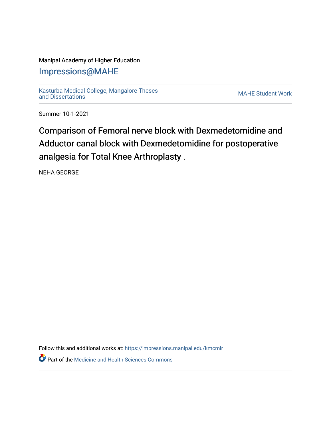## Manipal Academy of Higher Education

# [Impressions@MAHE](https://impressions.manipal.edu/)

[Kasturba Medical College, Mangalore Theses](https://impressions.manipal.edu/kmcmlr) [and Dissertations](https://impressions.manipal.edu/kmcmlr) [MAHE Student Work](https://impressions.manipal.edu/student-work) 

Summer 10-1-2021

Comparison of Femoral nerve block with Dexmedetomidine and Adductor canal block with Dexmedetomidine for postoperative analgesia for Total Knee Arthroplasty .

NEHA GEORGE

Follow this and additional works at: [https://impressions.manipal.edu/kmcmlr](https://impressions.manipal.edu/kmcmlr?utm_source=impressions.manipal.edu%2Fkmcmlr%2F248&utm_medium=PDF&utm_campaign=PDFCoverPages) 

**P** Part of the Medicine and Health Sciences Commons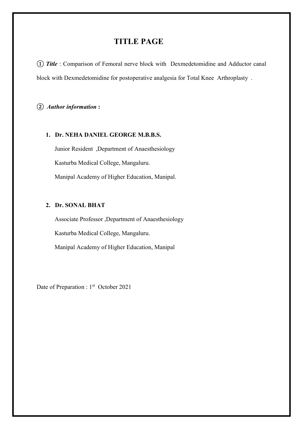# TITLE PAGE

① Title : Comparison of Femoral nerve block with Dexmedetomidine and Adductor canal block with Dexmedetomidine for postoperative analgesia for Total Knee Arthroplasty .

② Author information :

#### 1. Dr. NEHA DANIEL GEORGE M.B.B.S.

Junior Resident ,Department of Anaesthesiology Kasturba Medical College, Mangaluru. Manipal Academy of Higher Education, Manipal.

## 2. Dr. SONAL BHAT

Associate Professor ,Department of Anaesthesiology Kasturba Medical College, Mangaluru. Manipal Academy of Higher Education, Manipal

Date of Preparation : 1<sup>st</sup> October 2021